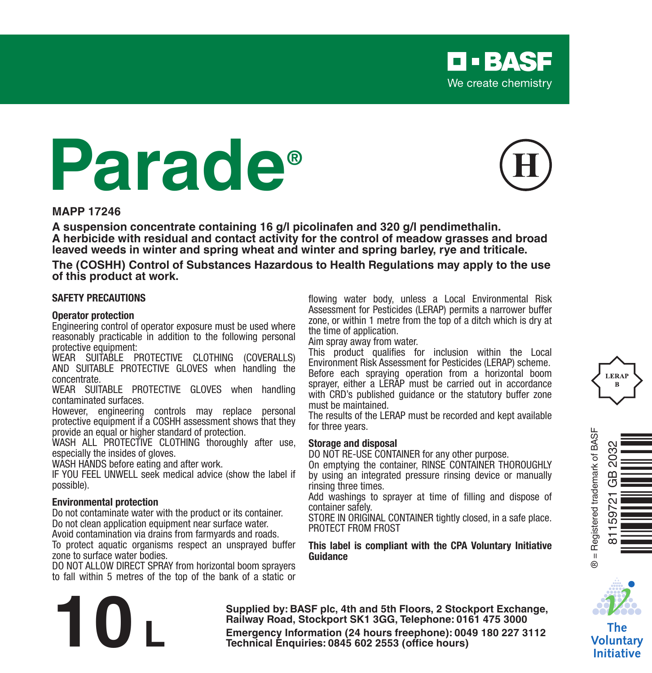# **Parade®**



**D-BASF** We create chemistry

#### **MAPP 17246**

**A suspension concentrate containing 16 g/l picolinafen and 320 g/l pendimethalin. A herbicide with residual and contact activity for the control of meadow grasses and broad leaved weeds in winter and spring wheat and winter and spring barley, rye and triticale.**

**The (COSHH) Control of Substances Hazardous to Health Regulations may apply to the use of this product at work.**

#### **SAFETY PRECAUTIONS**

#### **Operator protection**

Engineering control of operator exposure must be used where reasonably practicable in addition to the following personal protective equipment:

WEAR SUITABLE PROTECTIVE CLOTHING (COVERALLS) AND SUITABLE PROTECTIVE GLOVES when handling the concentrate.

WEAR SUITABLE PROTECTIVE GLOVES when handling contaminated surfaces.

However, engineering controls may replace personal protective equipment if a COSHH assessment shows that they provide an equal or higher standard of protection.

WASH ALL PROTECTIVE CLOTHING thoroughly after use, especially the insides of gloves.

WASH HANDS before eating and after work.

IF YOU FEEL UNWELL seek medical advice (show the label if possible).

#### **Environmental protection**

Do not contaminate water with the product or its container. Do not clean application equipment near surface water.

Avoid contamination via drains from farmyards and roads.

To protect aquatic organisms respect an unsprayed buffer zone to surface water bodies.

DO NOT ALLOW DIRECT SPRAY from horizontal boom sprayers to fall within 5 metres of the top of the bank of a static or flowing water body, unless a Local Environmental Risk Assessment for Pesticides (LERAP) permits a narrower buffer zone, or within 1 metre from the top of a ditch which is dry at the time of application.

Aim spray away from water.

This product qualifies for inclusion within the Local Environment Risk Assessment for Pesticides (LERAP) scheme. Before each spraying operation from a horizontal boom sprayer, either a LERAP must be carried out in accordance with CRD's published guidance or the statutory buffer zone must be maintained.

The results of the LERAP must be recorded and kept available for three years.

#### **Storage and disposal**

DO NOT RE-USE CONTAINER for any other purpose.

On emptying the container, RINSE CONTAINER THOROUGHLY by using an integrated pressure rinsing device or manually rinsing three times.

Add washings to sprayer at time of filling and dispose of container safely.

STORE IN ORIGINAL CONTAINER tightly closed, in a safe place. PROTECT FROM FROST

#### **This label is compliant with the CPA Voluntary Initiative Guidance**







The Voluntary **Initiative** 

**Supplied by: BASF plc, 4th and 5th Floors, 2 Stockport Exchange, Railway Road, Stockport SK1 3GG, Telephone: 0161 475 3000 Emergency Information (24 hours freephone): 0049 180 227 3112<br>
<b>Emergency Information (24 hours freephone): 0049 180 227 3112<br>
<b>Technical Enquiries: 0845 602 2553 (office hours)**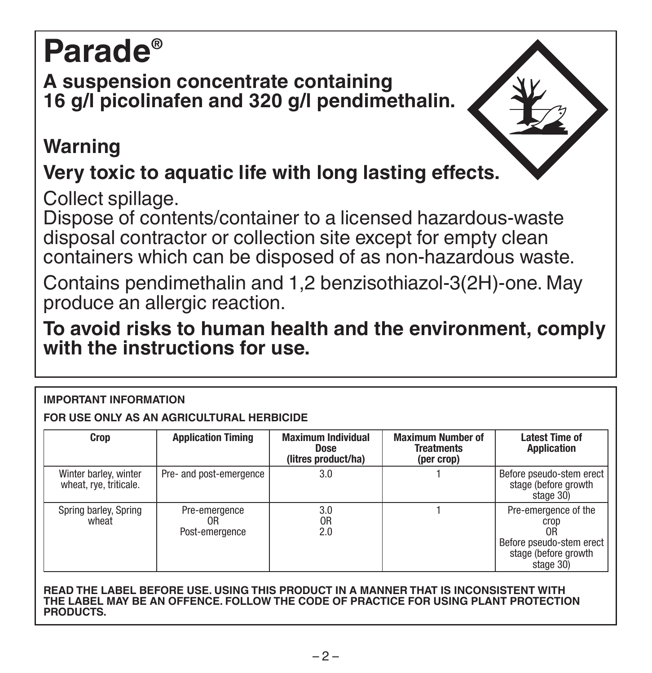# **Parade®**

### **A suspension concentrate containing 16 g/l picolinafen and 320 g/l pendimethalin.**

## **Warning**

## **Very toxic to aquatic life with long lasting effects.**

Collect spillage.

Dispose of contents/container to a licensed hazardous-waste disposal contractor or collection site except for empty clean containers which can be disposed of as non-hazardous waste.

Contains pendimethalin and 1,2 benzisothiazol-3(2H)-one. May produce an allergic reaction.

**To avoid risks to human health and the environment, comply with the instructions for use.**

#### **IMPORTANT INFORMATION**

**FOR USE ONLY AS AN AGRICULTURAL HERBICIDE**

| Crop                                            | <b>Application Timing</b>             | <b>Maximum Individual</b><br>Dose<br>(litres product/ha) | <b>Maximum Number of</b><br><b>Treatments</b><br>(per crop) | <b>Latest Time of</b><br><b>Application</b>                                                         |
|-------------------------------------------------|---------------------------------------|----------------------------------------------------------|-------------------------------------------------------------|-----------------------------------------------------------------------------------------------------|
| Winter barley, winter<br>wheat, rye, triticale. | Pre- and post-emergence               | 3.0                                                      |                                                             | Before pseudo-stem erect<br>stage (before growth<br>stage 30)                                       |
| Spring barley, Spring<br>wheat                  | Pre-emergence<br>0R<br>Post-emergence | 3.0<br>0R<br>2.0                                         |                                                             | Pre-emergence of the<br>crop<br>0R<br>Before pseudo-stem erect<br>stage (before growth<br>stage 30) |

**READ THE LABEL BEFORE USE. USING THIS PRODUCT IN A MANNER THAT IS INCONSISTENT WITH THE LABEL MAY BE AN OFFENCE. FOLLOW THE CODE OF PRACTICE FOR USING PLANT PROTECTION PRODUCTS.**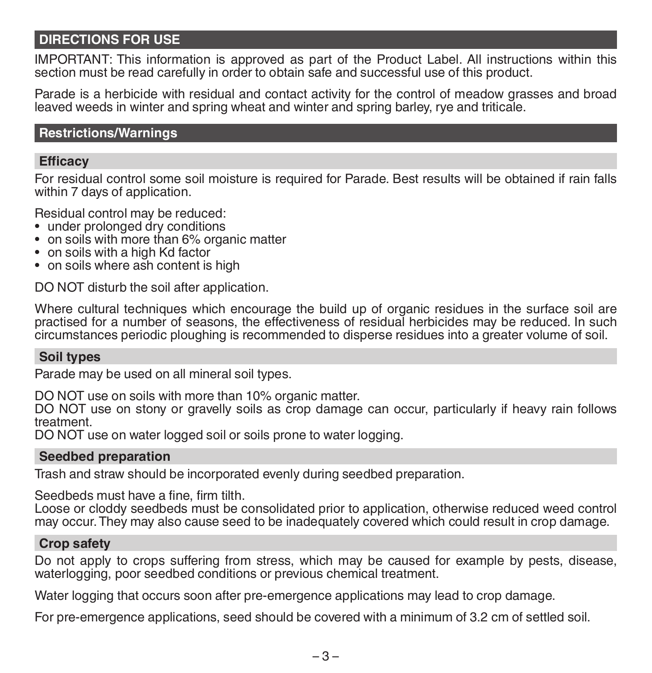#### **DIRECTIONS FOR USE**

IMPORTANT: This information is approved as part of the Product Label. All instructions within this section must be read carefully in order to obtain safe and successful use of this product.

Parade is a herbicide with residual and contact activity for the control of meadow grasses and broad leaved weeds in winter and spring wheat and winter and spring barley, rye and triticale.

#### **Restrictions/Warnings**

#### **Efficacy**

For residual control some soil moisture is required for Parade. Best results will be obtained if rain falls within 7 days of application.

Residual control may be reduced:

- under prolonged dry conditions
- on soils with more than 6% organic matter
- on soils with a high Kd factor
- on soils where ash content is high

DO NOT disturb the soil after application.

Where cultural techniques which encourage the build up of organic residues in the surface soil are practised for a number of seasons, the effectiveness of residual herbicides may be reduced. In such circumstances periodic ploughing is recommended to disperse residues into a greater volume of soil.

#### **Soil types**

Parade may be used on all mineral soil types.

DO NOT use on soils with more than 10% organic matter.

DO NOT use on stony or gravelly soils as crop damage can occur, particularly if heavy rain follows treatment.

DO NOT use on water logged soil or soils prone to water logging.

#### **Seedbed preparation**

Trash and straw should be incorporated evenly during seedbed preparation.

Seedbeds must have a fine, firm tilth.

Loose or cloddy seedbeds must be consolidated prior to application, otherwise reduced weed control may occur. They may also cause seed to be inadequately covered which could result in crop damage.

#### **Crop safety**

Do not apply to crops suffering from stress, which may be caused for example by pests, disease, waterlogging, poor seedbed conditions or previous chemical treatment.

Water logging that occurs soon after pre-emergence applications may lead to crop damage.

For pre-emergence applications, seed should be covered with a minimum of 3.2 cm of settled soil.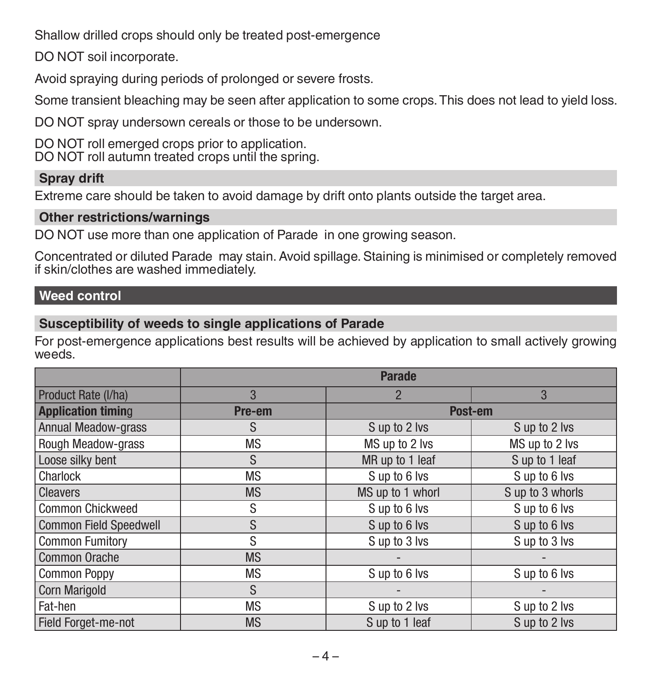Shallow drilled crops should only be treated post-emergence

DO NOT soil incorporate.

Avoid spraying during periods of prolonged or severe frosts.

Some transient bleaching may be seen after application to some crops. This does not lead to yield loss.

DO NOT spray undersown cereals or those to be undersown.

DO NOT roll emerged crops prior to application. DO NOT roll autumn treated crops until the spring.

#### **Spray drift**

Extreme care should be taken to avoid damage by drift onto plants outside the target area.

#### **Other restrictions/warnings**

DO NOT use more than one application of Parade in one growing season.

Concentrated or diluted Parade may stain. Avoid spillage. Staining is minimised or completely removed if skin/clothes are washed immediately.

#### **Weed control**

#### **Susceptibility of weeds to single applications of Parade**

For post-emergence applications best results will be achieved by application to small actively growing weeds.

|                               | <b>Parade</b> |                  |                  |
|-------------------------------|---------------|------------------|------------------|
| Product Rate (I/ha)           | 3             | 2                | 3                |
| <b>Application timing</b>     | Pre-em        | Post-em          |                  |
| <b>Annual Meadow-grass</b>    | S             | S up to 2 lvs    | S up to 2 lvs    |
| Rough Meadow-grass            | <b>MS</b>     | MS up to 2 lvs   | MS up to 2 lvs   |
| Loose silky bent              | S.            | MR up to 1 leaf  | S up to 1 leaf   |
| Charlock                      | <b>MS</b>     | Sup to 6 lvs     | Sup to 6 lvs     |
| <b>Cleavers</b>               | <b>MS</b>     | MS up to 1 whorl | S up to 3 whorls |
| <b>Common Chickweed</b>       | S             | Sup to 6 lvs     | Sup to 6 lvs     |
| <b>Common Field Speedwell</b> | S             | Sup to 6 lvs     | Sup to 6 lvs     |
| <b>Common Fumitory</b>        | S             | S up to 3 lvs    | S up to 3 lvs    |
| <b>Common Orache</b>          | <b>MS</b>     |                  |                  |
| <b>Common Poppy</b>           | <b>MS</b>     | S up to 6 lvs    | Sup to 6 lvs     |
| <b>Corn Marigold</b>          | S             |                  |                  |
| Fat-hen                       | <b>MS</b>     | S up to 2 lvs    | S up to 2 lvs    |
| Field Forget-me-not           | <b>MS</b>     | S up to 1 leaf   | S up to 2 lvs    |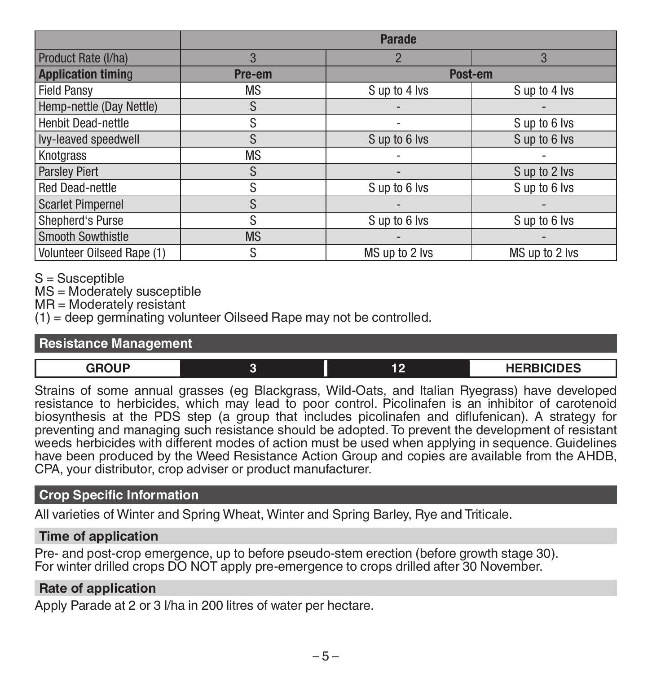|                            | <b>Parade</b> |                |                |
|----------------------------|---------------|----------------|----------------|
| Product Rate (I/ha)        | 3             | $\overline{2}$ | 3              |
| <b>Application timing</b>  | Pre-em        | Post-em        |                |
| <b>Field Pansy</b>         | <b>MS</b>     | S up to 4 lvs  | S up to 4 lvs  |
| Hemp-nettle (Day Nettle)   | S             |                |                |
| Henbit Dead-nettle         | S             |                | S up to 6 lvs  |
| Ivy-leaved speedwell       | S             | S up to 6 lvs  | S up to 6 lvs  |
| Knotgrass                  | <b>MS</b>     |                |                |
| <b>Parsley Piert</b>       | S             |                | S up to 2 lvs  |
| <b>Red Dead-nettle</b>     | S             | S up to 6 lvs  | Sup to 6 lvs   |
| <b>Scarlet Pimpernel</b>   | S             |                |                |
| Shepherd's Purse           | S             | S up to 6 lvs  | S up to 6 lvs  |
| <b>Smooth Sowthistle</b>   | <b>MS</b>     |                |                |
| Volunteer Oilseed Rape (1) | S             | MS up to 2 lvs | MS up to 2 lvs |

S = Susceptible

MS = Moderately susceptible

MR = Moderately resistant

 $(1)$  = deep germinating volunteer Oilseed Rape may not be controlled.

#### **Resistance Management**

| nn11D | <b>UCDDICINES</b><br>ᇬᄓᇋ |  |
|-------|--------------------------|--|
| __    |                          |  |

Strains of some annual grasses (eg Blackgrass, Wild-Oats, and Italian Ryegrass) have developed resistance to herbicides, which may lead to poor control. Picolinafen is an inhibitor of carotenoid biosynthesis at the PDS step (a group that includes picolinafen and diflufenican). A strategy for preventing and managing such resistance should be adopted. To prevent the development of resistant weeds herbicides with different modes of action must be used when applying in sequence. Guidelines have been produced by the Weed Resistance Action Group and copies are available from the AHDB, CPA, your distributor, crop adviser or product manufacturer.

#### **Crop Specific Information**

All varieties of Winter and Spring Wheat, Winter and Spring Barley, Rye and Triticale.

#### **Time of application**

Pre- and post-crop emergence, up to before pseudo-stem erection (before growth stage 30). For winter drilled crops DO NOT apply pre-emergence to crops drilled after 30 November.

#### **Rate of application**

Apply Parade at 2 or 3 l/ha in 200 litres of water per hectare.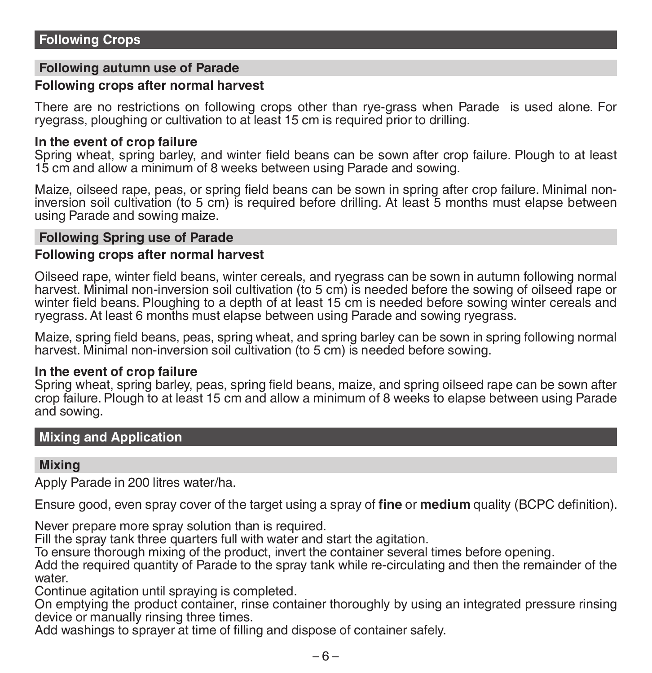#### **Following autumn use of Parade**

#### **Following crops after normal harvest**

There are no restrictions on following crops other than rye-grass when Parade is used alone. For ryegrass, ploughing or cultivation to at least 15 cm is required prior to drilling.

#### **In the event of crop failure**

Spring wheat, spring barley, and winter field beans can be sown after crop failure. Plough to at least 15 cm and allow a minimum of 8 weeks between using Parade and sowing.

Maize, oilseed rape, peas, or spring field beans can be sown in spring after crop failure. Minimal noninversion soil cultivation (to 5 cm) is required before drilling. At least 5 months must elapse between using Parade and sowing maize.

#### **Following Spring use of Parade**

#### **Following crops after normal harvest**

Oilseed rape, winter field beans, winter cereals, and ryegrass can be sown in autumn following normal harvest. Minimal non-inversion soil cultivation (to 5 cm) is needed before the sowing of oilseed rape or winter field beans. Ploughing to a depth of at least 15 cm is needed before sowing winter cereals and ryegrass. At least 6 months must elapse between using Parade and sowing ryegrass.

Maize, spring field beans, peas, spring wheat, and spring barley can be sown in spring following normal harvest. Minimal non-inversion soil cultivation (to 5 cm) is needed before sowing.

#### **In the event of crop failure**

Spring wheat, spring barley, peas, spring field beans, maize, and spring oilseed rape can be sown after crop failure. Plough to at least 15 cm and allow a minimum of 8 weeks to elapse between using Parade and sowing.

#### **Mixing and Application**

#### **Mixing**

Apply Parade in 200 litres water/ha.

Ensure good, even spray cover of the target using a spray of **fine** or **medium** quality (BCPC definition).

Never prepare more spray solution than is required.

Fill the spray tank three quarters full with water and start the agitation.

To ensure thorough mixing of the product, invert the container several times before opening.

Add the required quantity of Parade to the spray tank while re-circulating and then the remainder of the water

Continue agitation until spraying is completed.

On emptying the product container, rinse container thoroughly by using an integrated pressure rinsing device or manually rinsing three times.

Add washings to sprayer at time of filling and dispose of container safely.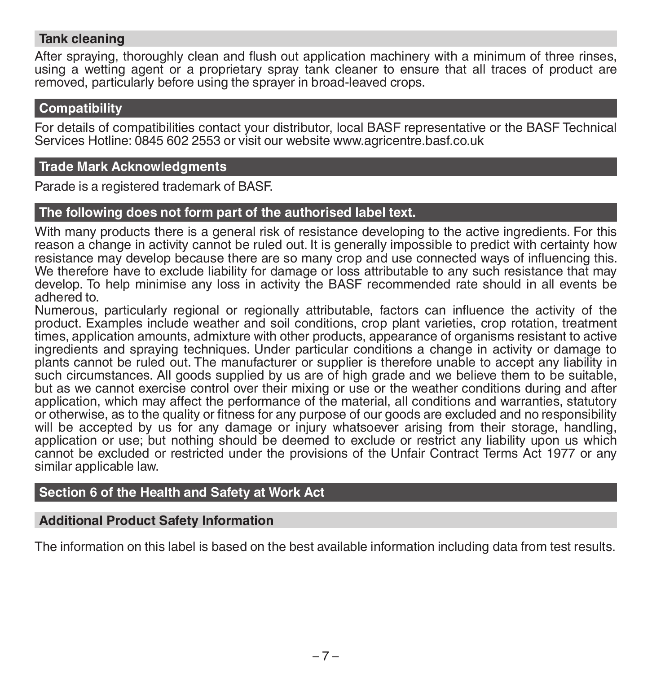#### **Tank cleaning**

After spraying, thoroughly clean and flush out application machinery with a minimum of three rinses, using a wetting agent or a proprietary spray tank cleaner to ensure that all traces of product are removed, particularly before using the sprayer in broad-leaved crops.

#### **Compatibility**

For details of compatibilities contact your distributor, local BASF representative or the BASF Technical Services Hotline: 0845 602 2553 or visit our website www.agricentre.basf.co.uk

#### **Trade Mark Acknowledgments**

Parade is a registered trademark of BASF.

#### **The following does not form part of the authorised label text.**

With many products there is a general risk of resistance developing to the active ingredients. For this reason a change in activity cannot be ruled out. It is generally impossible to predict with certainty how resistance may develop because there are so many crop and use connected ways of influencing this. We therefore have to exclude liability for damage or loss attributable to any such resistance that may develop. To help minimise any loss in activity the BASF recommended rate should in all events be adhered to.

Numerous, particularly regional or regionally attributable, factors can influence the activity of the product. Examples include weather and soil conditions, crop plant varieties, crop rotation, treatment times, application amounts, admixture with other products, appearance of organisms resistant to active ingredients and spraying techniques. Under particular conditions a change in activity or damage to plants cannot be ruled out. The manufacturer or supplier is therefore unable to accept any liability in such circumstances. All goods supplied by us are of high grade and we believe them to be suitable, but as we cannot exercise control over their mixing or use or the weather conditions during and after application, which may affect the performance of the material, all conditions and warranties, statutory or otherwise, as to the quality or fitness for any purpose of our goods are excluded and no responsibility will be accepted by us for any damage or injury whatsoever arising from their storage, handling, application or use; but nothing should be deemed to exclude or restrict any liability upon us which cannot be excluded or restricted under the provisions of the Unfair Contract Terms Act 1977 or any similar applicable law.

#### **Section 6 of the Health and Safety at Work Act**

#### **Additional Product Safety Information**

The information on this label is based on the best available information including data from test results.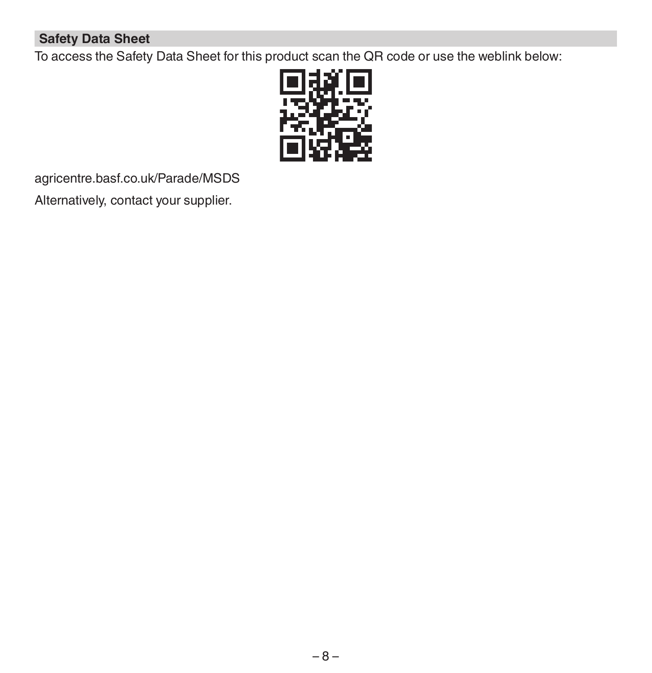#### **Safety Data Sheet**

To access the Safety Data Sheet for this product scan the QR code or use the weblink below:



agricentre.basf.co.uk/Parade/MSDS Alternatively, contact your supplier.